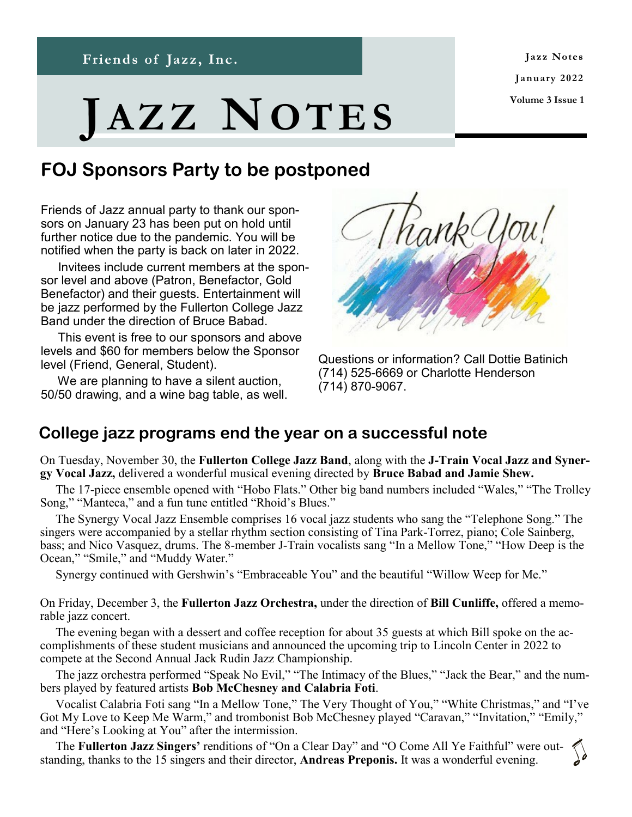**Friends of Jazz, Inc.**

Jazz Notes **January 2022 Volume 3 Issue 1**

# **JA Z Z NOT E S**

**News and Notes from Friends of Jazz, Inc.**

## **FOJ Sponsors Party to be postponed**

Friends of Jazz annual party to thank our sponsors on January 23 has been put on hold until further notice due to the pandemic. You will be notified when the party is back on later in 2022.

 Invitees include current members at the sponsor level and above (Patron, Benefactor, Gold Benefactor) and their guests. Entertainment will be jazz performed by the Fullerton College Jazz Band under the direction of Bruce Babad.

 This event is free to our sponsors and above levels and \$60 for members below the Sponsor level (Friend, General, Student).

 We are planning to have a silent auction, 50/50 drawing, and a wine bag table, as well.



Questions or information? Call Dottie Batinich (714) 525-6669 or Charlotte Henderson (714) 870-9067.

### **College jazz programs end the year on a successful note**

On Tuesday, November 30, the **Fullerton College Jazz Band**, along with the **J-Train Vocal Jazz and Synergy Vocal Jazz,** delivered a wonderful musical evening directed by **Bruce Babad and Jamie Shew.**

 The 17-piece ensemble opened with "Hobo Flats." Other big band numbers included "Wales," "The Trolley Song," "Manteca," and a fun tune entitled "Rhoid's Blues."

 The Synergy Vocal Jazz Ensemble comprises 16 vocal jazz students who sang the "Telephone Song." The singers were accompanied by a stellar rhythm section consisting of Tina Park-Torrez, piano; Cole Sainberg, bass; and Nico Vasquez, drums. The 8-member J-Train vocalists sang "In a Mellow Tone," "How Deep is the Ocean," "Smile," and "Muddy Water."

Synergy continued with Gershwin's "Embraceable You" and the beautiful "Willow Weep for Me."

On Friday, December 3, the **Fullerton Jazz Orchestra,** under the direction of **Bill Cunliffe,** offered a memorable jazz concert.

 The evening began with a dessert and coffee reception for about 35 guests at which Bill spoke on the accomplishments of these student musicians and announced the upcoming trip to Lincoln Center in 2022 to compete at the Second Annual Jack Rudin Jazz Championship.

 The jazz orchestra performed "Speak No Evil," "The Intimacy of the Blues," "Jack the Bear," and the numbers played by featured artists **Bob McChesney and Calabria Foti**.

 Vocalist Calabria Foti sang "In a Mellow Tone," The Very Thought of You," "White Christmas," and "I've Got My Love to Keep Me Warm," and trombonist Bob McChesney played "Caravan," "Invitation," "Emily," and "Here's Looking at You" after the intermission.

 The **Fullerton Jazz Singers'** renditions of "On a Clear Day" and "O Come All Ye Faithful" were outstanding, thanks to the 15 singers and their director, **Andreas Preponis.** It was a wonderful evening.